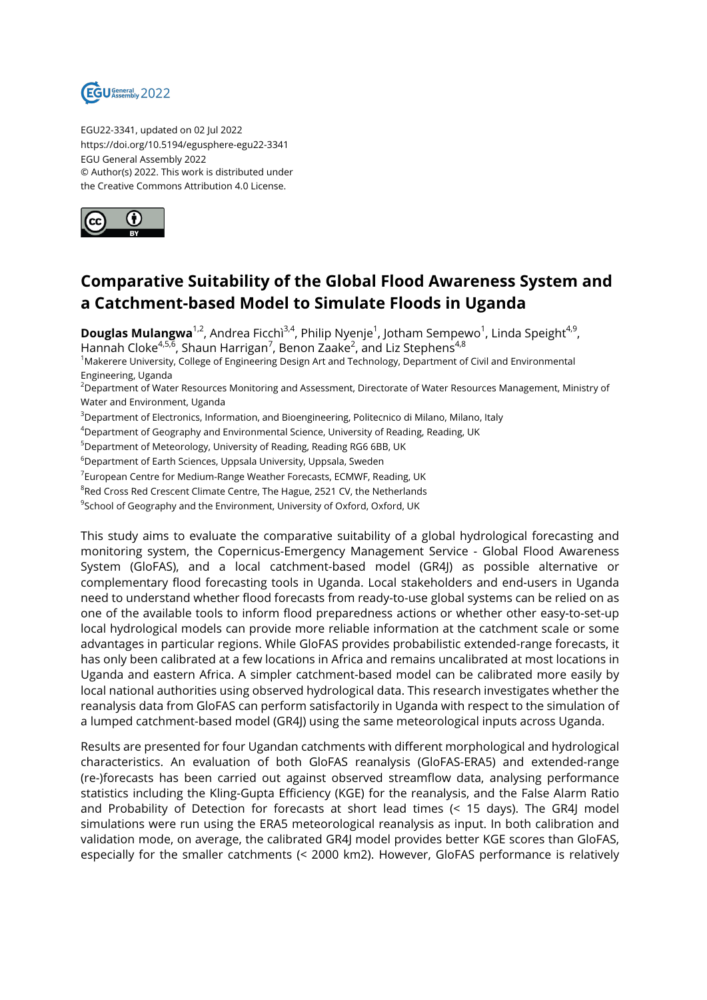

EGU22-3341, updated on 02 Jul 2022 https://doi.org/10.5194/egusphere-egu22-3341 EGU General Assembly 2022 © Author(s) 2022. This work is distributed under the Creative Commons Attribution 4.0 License.



## **Comparative Suitability of the Global Flood Awareness System and a Catchment-based Model to Simulate Floods in Uganda**

**Douglas Mulangwa**<sup>1,2</sup>, Andrea Ficchì<sup>3,4</sup>, Philip Nyenje<sup>1</sup>, Jotham Sempewo<sup>1</sup>, Linda Speight<sup>4,9</sup>, Hannah Cloke<sup>4,5,6</sup>, Shaun Harrigan<sup>7</sup>, Benon Zaake<sup>2</sup>, and Liz Stephens<sup>4,8</sup>

<sup>1</sup>Makerere University, College of Engineering Design Art and Technology, Department of Civil and Environmental Engineering, Uganda

<sup>2</sup>Department of Water Resources Monitoring and Assessment, Directorate of Water Resources Management, Ministry of Water and Environment, Uganda

<sup>3</sup>Department of Electronics, Information, and Bioengineering, Politecnico di Milano, Milano, Italy

<sup>4</sup>Department of Geography and Environmental Science, University of Reading, Reading, UK

<sup>5</sup>Department of Meteorology, University of Reading, Reading RG6 6BB, UK

<sup>6</sup>Department of Earth Sciences, Uppsala University, Uppsala, Sweden

 $^7$ European Centre for Medium-Range Weather Forecasts, ECMWF, Reading, UK

 ${}^{8}$ Red Cross Red Crescent Climate Centre, The Hague, 2521 CV, the Netherlands

 $^9$ School of Geography and the Environment, University of Oxford, Oxford, UK

This study aims to evaluate the comparative suitability of a global hydrological forecasting and monitoring system, the Copernicus-Emergency Management Service - Global Flood Awareness System (GloFAS), and a local catchment-based model (GR4J) as possible alternative or complementary flood forecasting tools in Uganda. Local stakeholders and end-users in Uganda need to understand whether flood forecasts from ready-to-use global systems can be relied on as one of the available tools to inform flood preparedness actions or whether other easy-to-set-up local hydrological models can provide more reliable information at the catchment scale or some advantages in particular regions. While GloFAS provides probabilistic extended-range forecasts, it has only been calibrated at a few locations in Africa and remains uncalibrated at most locations in Uganda and eastern Africa. A simpler catchment-based model can be calibrated more easily by local national authorities using observed hydrological data. This research investigates whether the reanalysis data from GloFAS can perform satisfactorily in Uganda with respect to the simulation of a lumped catchment-based model (GR4J) using the same meteorological inputs across Uganda.

Results are presented for four Ugandan catchments with different morphological and hydrological characteristics. An evaluation of both GloFAS reanalysis (GloFAS-ERA5) and extended-range (re-)forecasts has been carried out against observed streamflow data, analysing performance statistics including the Kling-Gupta Efficiency (KGE) for the reanalysis, and the False Alarm Ratio and Probability of Detection for forecasts at short lead times (< 15 days). The GR4J model simulations were run using the ERA5 meteorological reanalysis as input. In both calibration and validation mode, on average, the calibrated GR4J model provides better KGE scores than GloFAS, especially for the smaller catchments (< 2000 km2). However, GloFAS performance is relatively